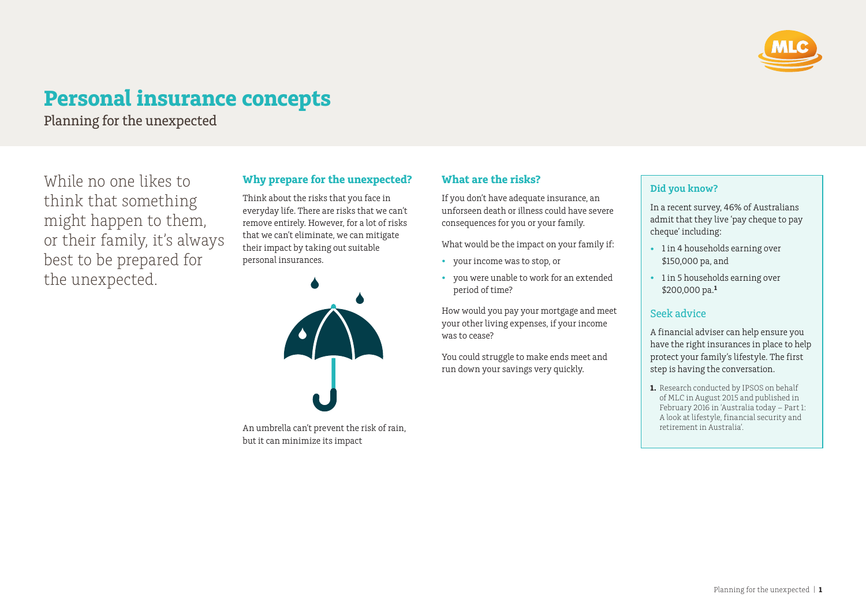

# **Personal insurance concepts**

Planning for the unexpected

While no one likes to think that something might happen to them, or their family, it's always best to be prepared for the unexpected.

## **Why prepare for the unexpected?**

Think about the risks that you face in everyday life. There are risks that we can't remove entirely. However, for a lot of risks that we can't eliminate, we can mitigate their impact by taking out suitable personal insurances.



An umbrella can't prevent the risk of rain, but it can minimize its impact

# **What are the risks?**

If you don't have adequate insurance, an unforseen death or illness could have severe consequences for you or your family.

What would be the impact on your family if:

- your income was to stop, or
- you were unable to work for an extended period of time?

How would you pay your mortgage and meet your other living expenses, if your income was to cease?

You could struggle to make ends meet and run down your savings very quickly.

#### **Did you know?**

In a recent survey, 46% of Australians admit that they live 'pay cheque to pay cheque' including:

- 1 in 4 households earning over \$150,000 pa, and
- 1 in 5 households earning over \$200,000 pa.**<sup>1</sup>**

### Seek advice

A financial adviser can help ensure you have the right insurances in place to help protect your family's lifestyle. The first step is having the conversation.

**1.** Research conducted by IPSOS on behalf of MLC in August 2015 and published in February 2016 in 'Australia today – Part 1: A look at lifestyle, financial security and retirement in Australia'.